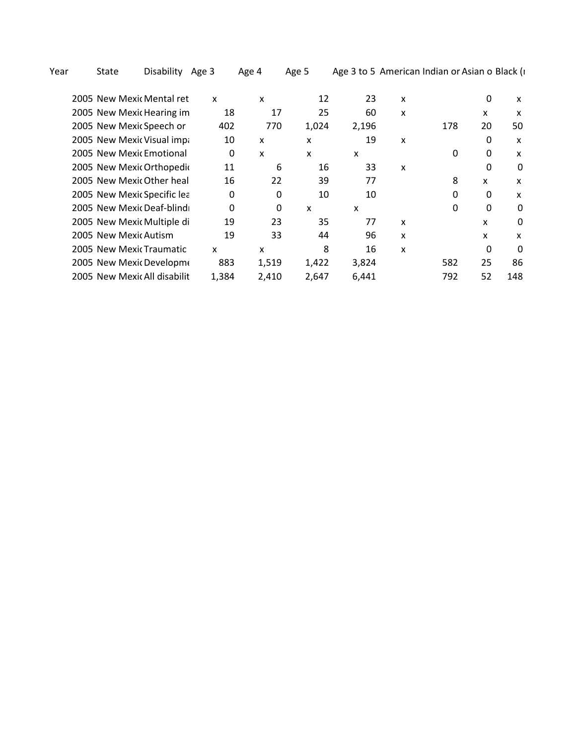Year State Disability Age 3 Age 4 Age 5 Age 3 to 5 American Indian or Asian o Black (i

| 2005 New Mexic Mental ret    | X        | x        | 12    | 23    | x |     | 0        | $\boldsymbol{\mathsf{x}}$ |
|------------------------------|----------|----------|-------|-------|---|-----|----------|---------------------------|
| 2005 New Mexic Hearing im    | 18       | 17       | 25    | 60    | X |     | x        | X                         |
| 2005 New Mexic Speech or     | 402      | 770      | 1,024 | 2,196 |   | 178 | 20       | 50                        |
| 2005 New Mexic Visual impa   | 10       | x        | x     | 19    | x |     | 0        | X                         |
| 2005 New Mexic Emotional     | 0        | X        | X     | x     |   | 0   | 0        | x                         |
| 2005 New Mexic Orthopedic    | 11       | 6        | 16    | 33    | x |     | 0        | 0                         |
| 2005 New Mexic Other heal    | 16       | 22       | 39    | 77    |   | 8   | X        | $\boldsymbol{\mathsf{x}}$ |
| 2005 New Mexic Specific lea  | 0        | $\Omega$ | 10    | 10    |   | 0   | 0        | x                         |
| 2005 New Mexic Deaf-blind    | $\Omega$ | $\Omega$ | X     | x     |   | 0   | 0        | 0                         |
| 2005 New Mexic Multiple di   | 19       | 23       | 35    | 77    | x |     | X        | 0                         |
| 2005 New Mexic Autism        | 19       | 33       | 44    | 96    | X |     | X        | x                         |
| 2005 New Mexic Traumatic     | x        | x        | 8     | 16    | X |     | $\Omega$ | 0                         |
| 2005 New Mexic Developme     | 883      | 1,519    | 1,422 | 3,824 |   | 582 | 25       | 86                        |
| 2005 New Mexic All disabilit | 1,384    | 2,410    | 2,647 | 6,441 |   | 792 | 52       | 148                       |
|                              |          |          |       |       |   |     |          |                           |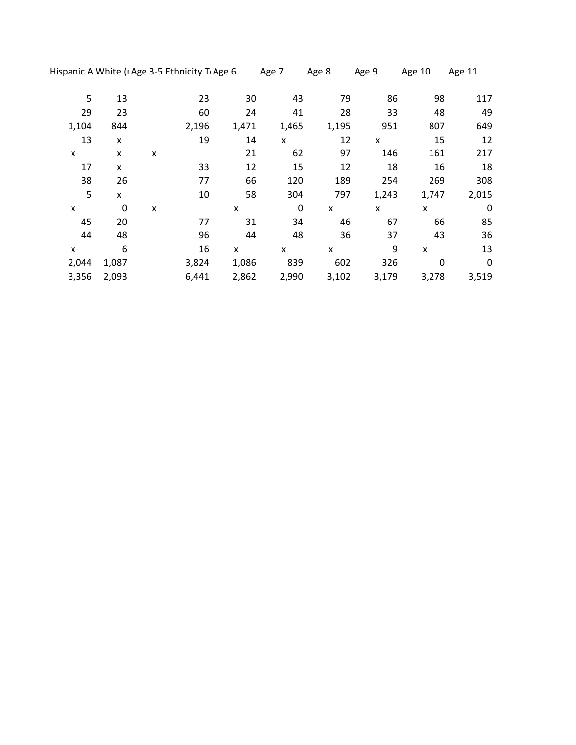|       |                  |   | Hispanic A White (I Age 3-5 Ethnicity T Age 6 |       | Age 7     | Age 8 | Age 9 | Age 10                    | Age 11      |
|-------|------------------|---|-----------------------------------------------|-------|-----------|-------|-------|---------------------------|-------------|
| 5     | 13               |   | 23                                            | 30    | 43        | 79    | 86    | 98                        | 117         |
| 29    | 23               |   | 60                                            | 24    | 41        | 28    | 33    | 48                        | 49          |
| 1,104 | 844              |   | 2,196                                         | 1,471 | 1,465     | 1,195 | 951   | 807                       | 649         |
| 13    | X                |   | 19                                            | 14    | X         | 12    | x     | 15                        | 12          |
| X     | X                | X |                                               | 21    | 62        | 97    | 146   | 161                       | 217         |
| 17    | X                |   | 33                                            | 12    | 15        | 12    | 18    | 16                        | 18          |
| 38    | 26               |   | 77                                            | 66    | 120       | 189   | 254   | 269                       | 308         |
| 5     | X                |   | 10                                            | 58    | 304       | 797   | 1,243 | 1,747                     | 2,015       |
| X     | $\boldsymbol{0}$ | x |                                               | X     | $\pmb{0}$ | X     | X     | x                         | $\mathbf 0$ |
| 45    | 20               |   | 77                                            | 31    | 34        | 46    | 67    | 66                        | 85          |
| 44    | 48               |   | 96                                            | 44    | 48        | 36    | 37    | 43                        | 36          |
| X     | 6                |   | 16                                            | X     | X         | X     | 9     | $\boldsymbol{\mathsf{x}}$ | 13          |
| 2,044 | 1,087            |   | 3,824                                         | 1,086 | 839       | 602   | 326   | $\mathbf 0$               | $\mathbf 0$ |
| 3,356 | 2,093            |   | 6,441                                         | 2,862 | 2,990     | 3,102 | 3,179 | 3,278                     | 3,519       |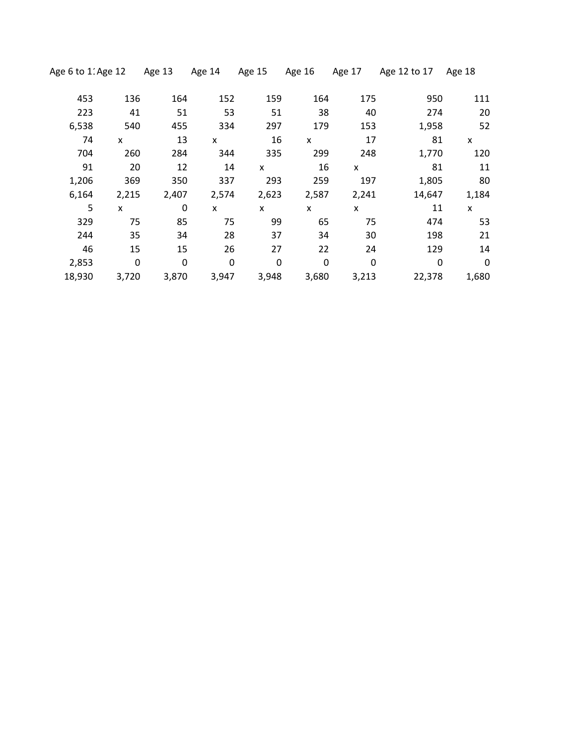| Age 6 to 11Age 12 |       | Age 13 | Age 14 | Age 15   | Age 16   | Age 17       | Age 12 to 17 | Age 18 |
|-------------------|-------|--------|--------|----------|----------|--------------|--------------|--------|
| 453               | 136   | 164    | 152    | 159      | 164      | 175          | 950          | 111    |
| 223               | 41    | 51     | 53     | 51       | 38       | 40           | 274          | 20     |
| 6,538             | 540   | 455    | 334    | 297      | 179      | 153          | 1,958        | 52     |
| 74                | X     | 13     | X      | 16       | <b>X</b> | 17           | 81           | X      |
| 704               | 260   | 284    | 344    | 335      | 299      | 248          | 1,770        | 120    |
| 91                | 20    | 12     | 14     | <b>X</b> | 16       | $\mathsf{x}$ | 81           | 11     |
| 1,206             | 369   | 350    | 337    | 293      | 259      | 197          | 1,805        | 80     |
| 6,164             | 2,215 | 2,407  | 2,574  | 2,623    | 2,587    | 2,241        | 14,647       | 1,184  |
| 5                 | X     | 0      | X      | X        | X        | X            | 11           | X      |
| 329               | 75    | 85     | 75     | 99       | 65       | 75           | 474          | 53     |
| 244               | 35    | 34     | 28     | 37       | 34       | 30           | 198          | 21     |
| 46                | 15    | 15     | 26     | 27       | 22       | 24           | 129          | 14     |
| 2,853             | 0     | 0      | 0      | 0        | 0        | 0            | 0            | 0      |
| 18,930            | 3,720 | 3,870  | 3,947  | 3,948    | 3,680    | 3,213        | 22,378       | 1,680  |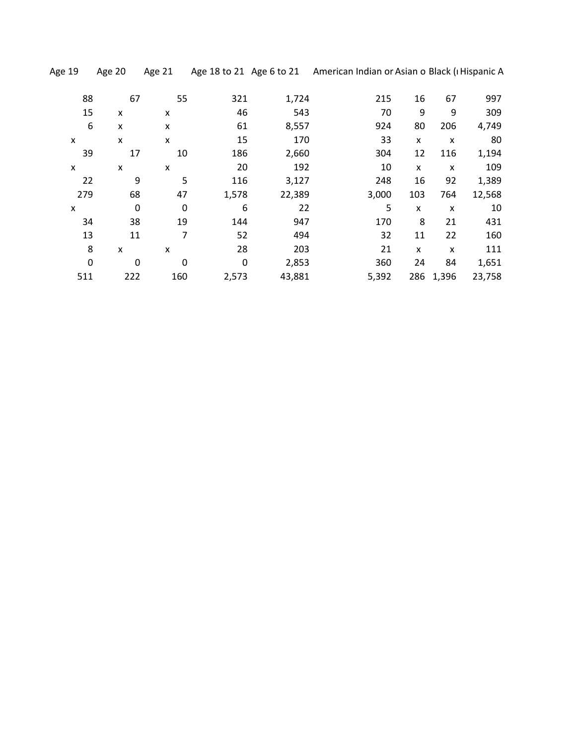|  | Age 19 | Age $20$ |  |
|--|--------|----------|--|
|  |        |          |  |

Age 19 Age 20 Age 21 Age 18 to 21 Age 6 to 21 American Indian or Asian o Black (I Hispanic A

| 88  | 67               | 55          | 321   | 1,724  | 215   | 16  | 67        | 997    |
|-----|------------------|-------------|-------|--------|-------|-----|-----------|--------|
| 15  | X                | X           | 46    | 543    | 70    | 9   | 9         | 309    |
| 6   | X                | x           | 61    | 8,557  | 924   | 80  | 206       | 4,749  |
| X   | X                | X           | 15    | 170    | 33    | X   | x         | 80     |
| 39  | 17               | 10          | 186   | 2,660  | 304   | 12  | 116       | 1,194  |
| X   | X                | x           | 20    | 192    | 10    | X   | X         | 109    |
| 22  | 9                | 5           | 116   | 3,127  | 248   | 16  | 92        | 1,389  |
| 279 | 68               | 47          | 1,578 | 22,389 | 3,000 | 103 | 764       | 12,568 |
| X   | $\boldsymbol{0}$ | $\mathbf 0$ | 6     | 22     | 5     | X   | X         | 10     |
| 34  | 38               | 19          | 144   | 947    | 170   | 8   | 21        | 431    |
| 13  | 11               | 7           | 52    | 494    | 32    | 11  | 22        | 160    |
| 8   | X                | x           | 28    | 203    | 21    | X   | X         | 111    |
| 0   | 0                | 0           | 0     | 2,853  | 360   | 24  | 84        | 1,651  |
| 511 | 222              | 160         | 2,573 | 43,881 | 5,392 |     | 286 1,396 | 23,758 |